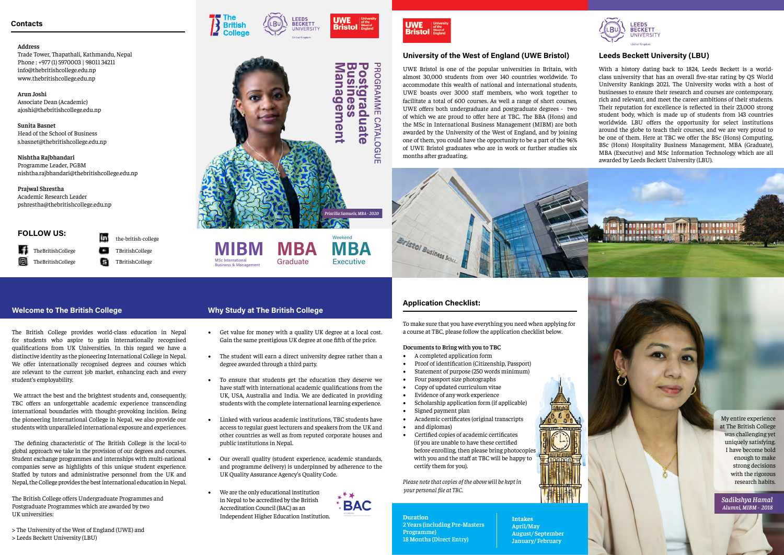## **Address**

Trade Tower, Thapathali, Kathmandu, Nepal Phone : +977 (1) 5970003 | 98011 34211 info@thebritishcollege.edu.np www.thebritishcollege.edu.np

**Arun Joshi** Associate Dean (Academic) ajoshi@thebritishcollege.edu.np

**Sunita Basnet** Head of the School of Business s.basnet@thebritishcollege.edu.np

**Nishtha Rajbhandari** Programme Leader, PGBM nishtha.rajbhandari@thebritishcollege.edu.np

**Prajwal Shrestha**

Academic Research Leader pshrestha@thebritishcollege.edu.np

> To make sure that you have everything you need when applying for a course at TBC, please follow the application checklist below.

## **Documents to Bring with you to TBC**

F. TheBritishCollege TheBritishCollege

- A completed application form
- Proof of identification (Citizenship, Passport)
- Statement of purpose (250 words minimum)
- Four passport size photographs
- Copy of updated curriculum vitae
- Evidence of any work experience
- Scholarship application form (if applicable)
- Signed payment plan
- Academic certificates (original transcripts
- and diplomas)
- Certified copies of academic certificates (if you are unable to have these certified before enrolling, then please bring photocopies with you and the staff at TBC will be happy to certify them for you).



LEEDS **BECKETT** 

**UNIVERSIT** 

**Bristo** 

*Please note that copies of the above will be kept in your personal file at TBC.*

**Duration 2 Years (including Pre-Masters Programme) 18 Months (Direct Entry)**



\*\*\*\*\*\*\*\*\*

## **University of the West of England (UWE Bristol) Leeds Beckett University (LBU)**

## **Application Checklist:**

My entire experience at The British College was challenging yet uniquely satisfying. I have become bold enough to make strong decisions with the rigorous research habits.

the-british-college с TBritishCollege Ð TBritishCollege

## **FOLLOW US:**

We attract the best and the brightest students and, consequently, TBC offers an unforgettable academic experience transcending international boundaries with thought-provoking incision. Being the pioneering International College in Nepal, we also provide our students with unparalleled international exposure and experiences.

UWE Bristol is one of the popular universities in Britain, with almost 30,000 students from over 140 countries worldwide. To accommodate this wealth of national and international students, UWE boasts over 3000 staff members, who work together to facilitate a total of 600 courses. As well a range of short courses, UWE offers both undergraduate and postgraduate degrees - two of which we are proud to offer here at TBC. The BBA (Hons) and the MSc in International Business Management (MIBM) are both awarded by the University of the West of England, and by joining one of them, you could have the opportunity to be a part of the 96% of UWE Bristol graduates who are in work or further studies six months after graduating.



With a history dating back to 1824, Leeds Beckett is a worldclass university that has an overall five-star rating by QS World University Rankings 2021. The University works with a host of businesses to ensure their research and courses are contemporary, rich and relevant, and meet the career ambitions of their students. Their reputation for excellence is reflected in their 23,000 strong student body, which is made up of students from 143 countries worldwide. LBU offers the opportunity for select institutions around the globe to teach their courses, and we are very proud to be one of them. Here at TBC we offer the BSc (Hons) Computing, BSc (Hons) Hospitality Business Management, MBA (Graduate), MBA (Executive) and MSc Information Technology which are all awarded by Leeds Beckett University (LBU).

**Intakes April/May**

**August/ September January/ February**

## **Welcome to The British College Why Study at The British College**

The British College provides world-class education in Nepal for students who aspire to gain internationally recognised qualifications from UK Universities. In this regard we have a distinctive identity as the pioneering International College in Nepal. We offer internationally recognised degrees and courses which are relevant to the current job market, enhancing each and every student's employability.

 The defining characteristic of The British College is the local-to global approach we take in the provision of our degrees and courses. Student exchange programmes and internships with multi-national companies serve as highlights of this unique student experience. Staffed by tutors and administrative personnel from the UK and Nepal, the College provides the best international education in Nepal.

The British College offers Undergraduate Programmes and Postgraduate Programmes which are awarded by two UK universities:

> The University of the West of England (UWE) and > Leeds Beckett University (LBU)

- Get value for money with a quality UK degree at a local cost. Gain the same prestigious UK degree at one fifth of the price.
- The student will earn a direct university degree rather than a degree awarded through a third party.
- To ensure that students get the education they deserve we have staff with international academic qualifications from the UK, USA, Australia and India. We are dedicated in providing students with the complete international learning experience.
- Linked with various academic institutions, TBC students have access to regular guest lecturers and speakers from the UK and other countries as well as from reputed corporate houses and public institutions in Nepal.
- Our overall quality (student experience, academic standards, and programme delivery) is underpinned by adherence to the UK Quality Assurance Agency's Quality Code.
- We are the only educational institution in Nepal to be accredited by the British Accreditation Council (BAC) as an Independent Higher Education Institution.





MSc International Business & Management

**Graduate** 

**Executive** 

*Sadikshya Hamal Alumni, MIBM - 2018*